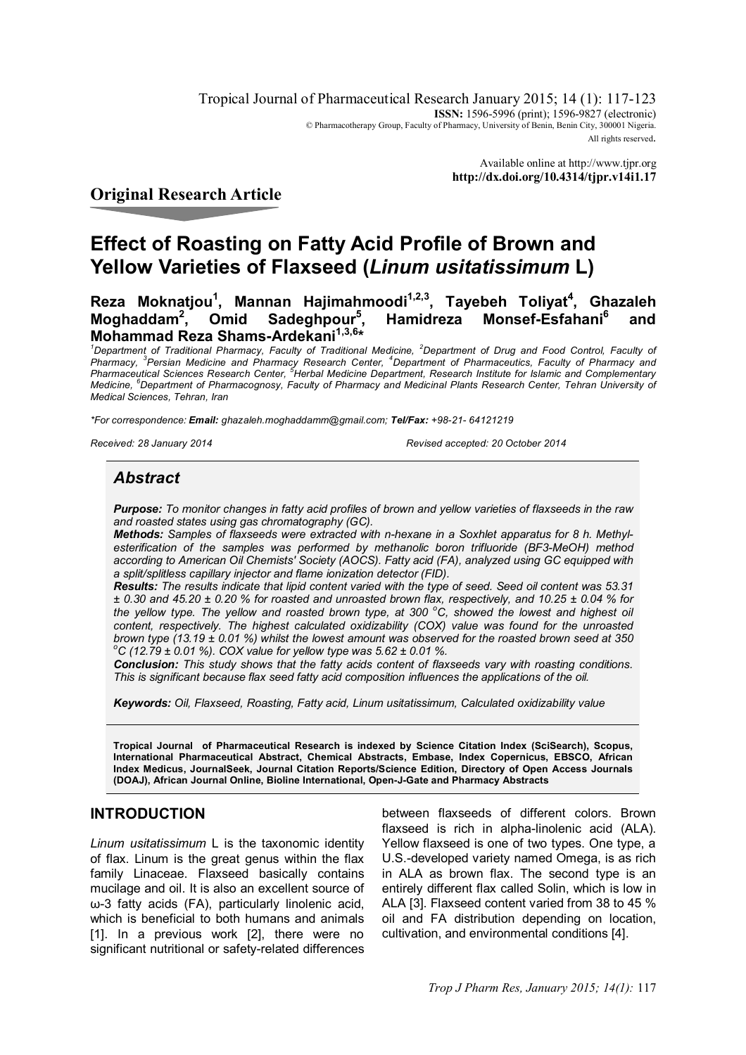Tropical Journal of Pharmaceutical Research January 2015; 14 (1): 117-123 **ISSN:** 1596-5996 (print); 1596-9827 (electronic) © Pharmacotherapy Group, Faculty of Pharmacy, University of Benin, Benin City, 300001 Nigeria. All rights reserved.

> Available online at http://www.tjpr.org **http://dx.doi.org/10.4314/tjpr.v14i1.17**

# **Original Research Article**

# **Effect of Roasting on Fatty Acid Profile of Brown and Yellow Varieties of Flaxseed (***Linum usitatissimum* **L)**

**Reza Moknatjou<sup>1</sup> , Mannan Hajimahmoodi1,2,3, Tayebeh Toliyat<sup>4</sup> , Ghazaleh Moghaddam<sup>2</sup> , Omid Sadeghpour<sup>5</sup> , Hamidreza Monsef-Esfahani<sup>6</sup> and Mohammad Reza Shams-Ardekani1,3,6\***

<sup>1</sup>*Department of Traditional Pharmacy, Faculty of Traditional Medicine, <sup>2</sup>Department of Drug and Food Control, Faculty of Pharmacy, <sup>3</sup> Persian Medicine and Pharmacy Research Center, <sup>4</sup>Department of Pharmaceutics, Faculty of Pharmacy and Pharmaceutical Sciences Research Center, <sup>5</sup>Herbal Medicine Department, Research Institute for Islamic and Complementary Medicine, <sup>6</sup>Department of Pharmacognosy, Faculty of Pharmacy and Medicinal Plants Research Center, Tehran University of Medical Sciences, Tehran, Iran*

*\*For correspondence: Email: ghazaleh.moghaddamm@gmail.com; Tel/Fax: +98-21- 64121219*

*Received: 28 January 2014 Revised accepted: 20 October 2014*

# *Abstract*

*Purpose: To monitor changes in fatty acid profiles of brown and yellow varieties of flaxseeds in the raw and roasted states using gas chromatography (GC).*

*Methods: Samples of flaxseeds were extracted with n-hexane in a Soxhlet apparatus for 8 h. Methylesterification of the samples was performed by methanolic boron trifluoride (BF3-MeOH) method according to American Oil Chemists' Society (AOCS). Fatty acid (FA), analyzed using GC equipped with a split/splitless capillary injector and flame ionization detector (FID).*

*Results: The results indicate that lipid content varied with the type of seed. Seed oil content was 53.31 ± 0.30 and 45.20 ± 0.20 % for roasted and unroasted brown flax, respectively, and 10.25 ± 0.04 % for the yellow type. The yellow and roasted brown type, at 300 <sup>o</sup>C, showed the lowest and highest oil content, respectively. The highest calculated oxidizability (COX) value was found for the unroasted brown type (13.19 ± 0.01 %) whilst the lowest amount was observed for the roasted brown seed at 350 <sup>o</sup>C (12.79 ± 0.01 %). COX value for yellow type was 5.62 ± 0.01 %.*

*Conclusion: This study shows that the fatty acids content of flaxseeds vary with roasting conditions. This is significant because flax seed fatty acid composition influences the applications of the oil.* 

*Keywords: Oil, Flaxseed, Roasting, Fatty acid, Linum usitatissimum, Calculated oxidizability value*

**Tropical Journal of Pharmaceutical Research is indexed by Science Citation Index (SciSearch), Scopus, International Pharmaceutical Abstract, Chemical Abstracts, Embase, Index Copernicus, EBSCO, African Index Medicus, JournalSeek, Journal Citation Reports/Science Edition, Directory of Open Access Journals (DOAJ), African Journal Online, Bioline International, Open-J-Gate and Pharmacy Abstracts**

# **INTRODUCTION**

*Linum usitatissimum* L is the taxonomic identity of flax. Linum is the great genus within the flax family Linaceae. Flaxseed basically contains mucilage and oil. It is also an excellent source of ω-3 fatty acids (FA), particularly linolenic acid, which is beneficial to both humans and animals [1]. In a previous work [2], there were no significant nutritional or safety-related differences

between flaxseeds of different colors. Brown flaxseed is rich in alpha-linolenic acid (ALA). Yellow flaxseed is one of two types. One type, a U.S.-developed variety named Omega, is as rich in ALA as brown flax. The second type is an entirely different flax called Solin, which is low in ALA [3]. Flaxseed content varied from 38 to 45 % oil and FA distribution depending on location, cultivation, and environmental conditions [4].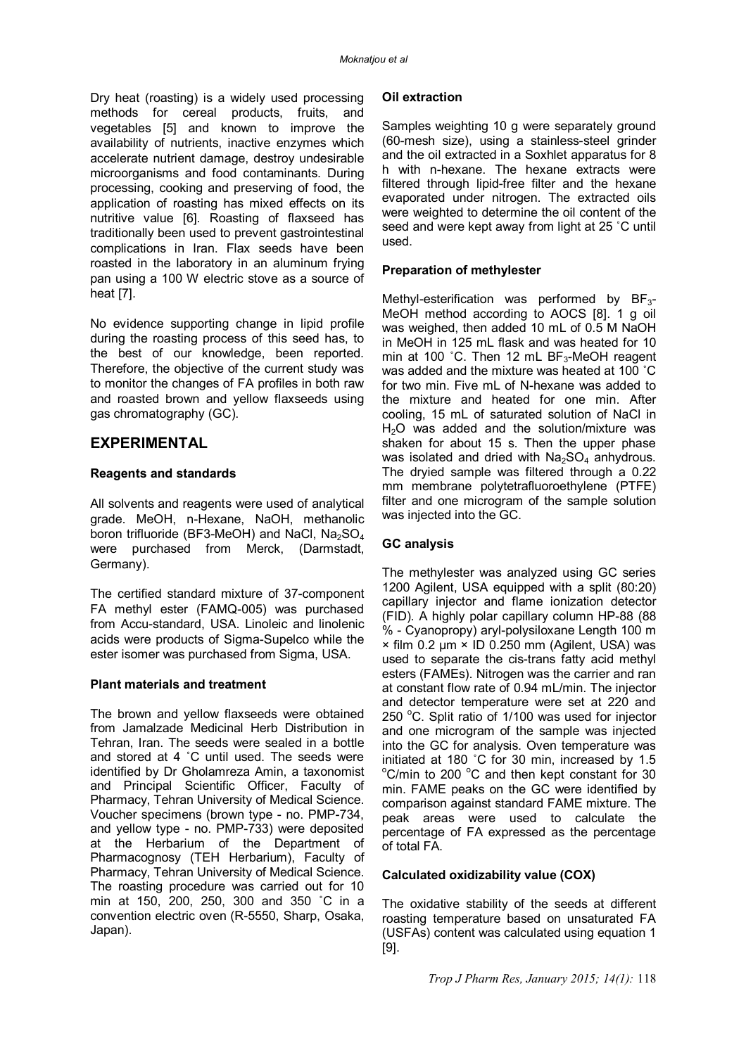Dry heat (roasting) is a widely used processing methods for cereal products, fruits, and vegetables [5] and known to improve the availability of nutrients, inactive enzymes which accelerate nutrient damage, destroy undesirable microorganisms and food contaminants. During processing, cooking and preserving of food, the application of roasting has mixed effects on its nutritive value [6]. Roasting of flaxseed has traditionally been used to prevent gastrointestinal complications in Iran. Flax seeds have been roasted in the laboratory in an aluminum frying pan using a 100 W electric stove as a source of heat [7].

No evidence supporting change in lipid profile during the roasting process of this seed has, to the best of our knowledge, been reported. Therefore, the objective of the current study was to monitor the changes of FA profiles in both raw and roasted brown and yellow flaxseeds using gas chromatography (GC).

#### **EXPERIMENTAL**

#### **Reagents and standards**

All solvents and reagents were used of analytical grade. MeOH, n-Hexane, NaOH, methanolic boron trifluoride (BF3-MeOH) and NaCl,  $Na<sub>2</sub>SO<sub>4</sub>$ were purchased from Merck, (Darmstadt, Germany).

The certified standard mixture of 37-component FA methyl ester (FAMQ-005) was purchased from Accu-standard, USA. Linoleic and linolenic acids were products of Sigma-Supelco while the ester isomer was purchased from Sigma, USA.

#### **Plant materials and treatment**

The brown and yellow flaxseeds were obtained from Jamalzade Medicinal Herb Distribution in Tehran, Iran. The seeds were sealed in a bottle and stored at 4 ˚C until used. The seeds were identified by Dr Gholamreza Amin, a taxonomist and Principal Scientific Officer, Faculty of Pharmacy, Tehran University of Medical Science. Voucher specimens (brown type - no. PMP-734, and yellow type - no. PMP-733) were deposited at the Herbarium of the Department of Pharmacognosy (TEH Herbarium), Faculty of Pharmacy, Tehran University of Medical Science. The roasting procedure was carried out for 10 min at 150, 200, 250, 300 and 350 ˚C in a convention electric oven (R-5550, Sharp, Osaka, Japan).

#### **Oil extraction**

Samples weighting 10 g were separately ground (60-mesh size), using a stainless-steel grinder and the oil extracted in a Soxhlet apparatus for 8 h with n-hexane. The hexane extracts were filtered through lipid-free filter and the hexane evaporated under nitrogen. The extracted oils were weighted to determine the oil content of the seed and were kept away from light at 25 ˚C until used.

#### **Preparation of methylester**

Methyl-esterification was performed by BF<sub>3</sub>-MeOH method according to AOCS [8]. 1 g oil was weighed, then added 10 mL of 0.5 M NaOH in MeOH in 125 mL flask and was heated for 10 min at 100 °C. Then 12 mL BF $_3$ -MeOH reagent was added and the mixture was heated at 100 ˚C for two min. Five mL of N-hexane was added to the mixture and heated for one min. After cooling, 15 mL of saturated solution of NaCl in  $H<sub>2</sub>O$  was added and the solution/mixture was shaken for about 15 s. Then the upper phase was isolated and dried with  $Na<sub>2</sub>SO<sub>4</sub>$  anhydrous. The dryied sample was filtered through a 0.22 mm membrane polytetrafluoroethylene (PTFE) filter and one microgram of the sample solution was injected into the GC.

#### **GC analysis**

The methylester was analyzed using GC series 1200 Agilent, USA equipped with a split (80:20) capillary injector and flame ionization detector (FID). A highly polar capillary column HP-88 (88 % - Cyanopropy) aryl-polysiloxane Length 100 m × film 0.2 µm × ID 0.250 mm (Agilent, USA) was used to separate the cis-trans fatty acid methyl esters (FAMEs). Nitrogen was the carrier and ran at constant flow rate of 0.94 mL/min. The injector and detector temperature were set at 220 and 250  $^{\circ}$ C. Split ratio of 1/100 was used for injector and one microgram of the sample was injected into the GC for analysis. Oven temperature was initiated at 180 ˚C for 30 min, increased by 1.5  $\mathrm{^{\circ}C/m}$ in to 200  $\mathrm{^{\circ}C}$  and then kept constant for 30 min. FAME peaks on the GC were identified by comparison against standard FAME mixture. The peak areas were used to calculate the percentage of FA expressed as the percentage of total FA.

#### **Calculated oxidizability value (COX)**

The oxidative stability of the seeds at different roasting temperature based on unsaturated FA (USFAs) content was calculated using equation 1 [9].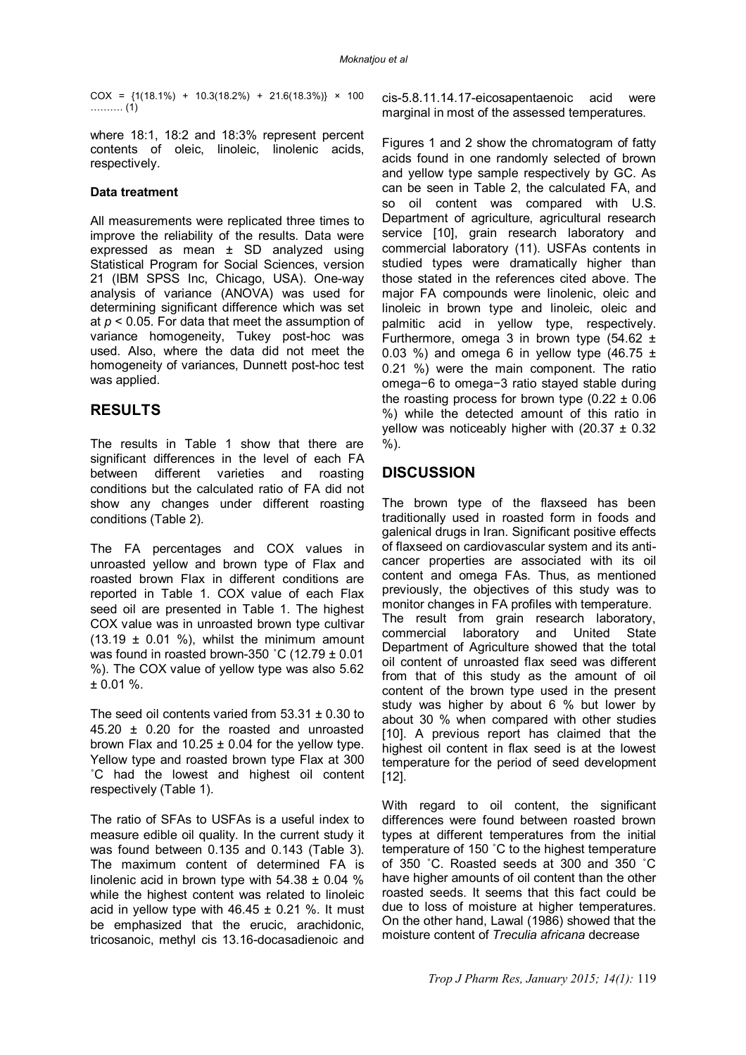$COX = \{1(18.1\%) + 10.3(18.2\%) + 21.6(18.3\%) \times 100$ ………. (1)

where 18:1, 18:2 and 18:3% represent percent contents of oleic, linoleic, linolenic acids, respectively.

#### **Data treatment**

All measurements were replicated three times to improve the reliability of the results. Data were expressed as mean ± SD analyzed using Statistical Program for Social Sciences, version 21 (IBM SPSS Inc, Chicago, USA). One-way analysis of variance (ANOVA) was used for determining significant difference which was set at *p* < 0.05. For data that meet the assumption of variance homogeneity, Tukey post-hoc was used. Also, where the data did not meet the homogeneity of variances, Dunnett post-hoc test was applied.

## **RESULTS**

The results in Table 1 show that there are significant differences in the level of each FA between different varieties and roasting conditions but the calculated ratio of FA did not show any changes under different roasting conditions (Table 2).

The FA percentages and COX values in unroasted yellow and brown type of Flax and roasted brown Flax in different conditions are reported in Table 1. COX value of each Flax seed oil are presented in Table 1. The highest COX value was in unroasted brown type cultivar  $(13.19 \pm 0.01 \%)$ , whilst the minimum amount was found in roasted brown-350 ˚C (12.79 ± 0.01 %). The COX value of yellow type was also 5.62  $± 0.01 %$ .

The seed oil contents varied from  $53.31 \pm 0.30$  to 45.20 ± 0.20 for the roasted and unroasted brown Flax and  $10.25 \pm 0.04$  for the yellow type. Yellow type and roasted brown type Flax at 300 ˚C had the lowest and highest oil content respectively (Table 1).

The ratio of SFAs to USFAs is a useful index to measure edible oil quality. In the current study it was found between 0.135 and 0.143 (Table 3). The maximum content of determined FA is linolenic acid in brown type with  $54.38 \pm 0.04$  % while the highest content was related to linoleic acid in yellow type with  $46.45 \pm 0.21$  %. It must be emphasized that the erucic, arachidonic, tricosanoic, methyl cis 13.16-docasadienoic and

cis-5.8.11.14.17-eicosapentaenoic acid were marginal in most of the assessed temperatures.

Figures 1 and 2 show the chromatogram of fatty acids found in one randomly selected of brown and yellow type sample respectively by GC. As can be seen in Table 2, the calculated FA, and so oil content was compared with U.S. Department of agriculture, agricultural research service [10], grain research laboratory and commercial laboratory (11). USFAs contents in studied types were dramatically higher than those stated in the references cited above. The major FA compounds were linolenic, oleic and linoleic in brown type and linoleic, oleic and palmitic acid in yellow type, respectively. Furthermore, omega 3 in brown type  $(54.62 \pm$ 0.03 %) and omega 6 in yellow type  $(46.75 \pm 1)$ 0.21 %) were the main component. The ratio omega−6 to omega−3 ratio stayed stable during the roasting process for brown type  $(0.22 \pm 0.06)$ %) while the detected amount of this ratio in yellow was noticeably higher with  $(20.37 \pm 0.32)$ %).

## **DISCUSSION**

The brown type of the flaxseed has been traditionally used in roasted form in foods and galenical drugs in Iran. Significant positive effects of flaxseed on cardiovascular system and its anticancer properties are associated with its oil content and omega FAs. Thus, as mentioned previously, the objectives of this study was to monitor changes in FA profiles with temperature. The result from grain research laboratory, commercial laboratory and United State Department of Agriculture showed that the total oil content of unroasted flax seed was different from that of this study as the amount of oil content of the brown type used in the present study was higher by about 6 % but lower by about 30 % when compared with other studies [10]. A previous report has claimed that the highest oil content in flax seed is at the lowest temperature for the period of seed development [12].

With regard to oil content, the significant differences were found between roasted brown types at different temperatures from the initial temperature of 150 ˚C to the highest temperature of 350 ˚C. Roasted seeds at 300 and 350 ˚C have higher amounts of oil content than the other roasted seeds. It seems that this fact could be due to loss of moisture at higher temperatures. On the other hand, Lawal (1986) showed that the moisture content of *Treculia africana* decrease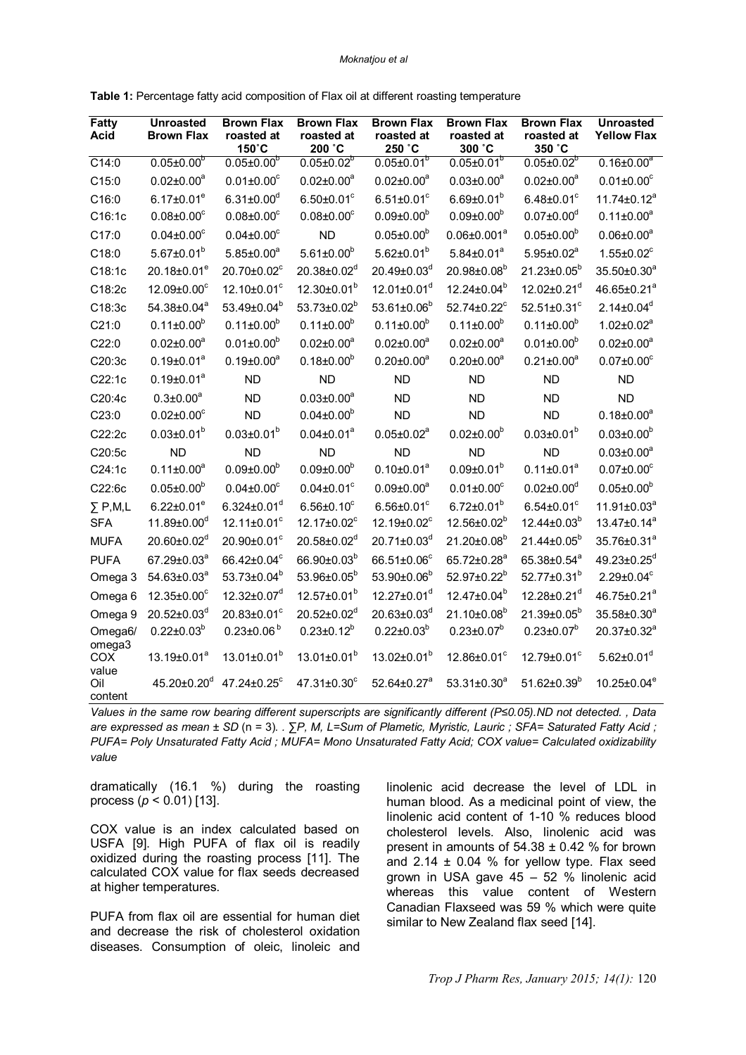| <b>Fatty</b><br><b>Acid</b> | <b>Unroasted</b><br><b>Brown Flax</b> | <b>Brown Flax</b><br>roasted at<br>150°C | <b>Brown Flax</b><br>roasted at<br>200 °C | <b>Brown Flax</b><br>roasted at<br>250 °C | <b>Brown Flax</b><br>roasted at<br>300 °C | <b>Brown Flax</b><br>roasted at<br>350 °C | <b>Unroasted</b><br><b>Yellow Flax</b> |
|-----------------------------|---------------------------------------|------------------------------------------|-------------------------------------------|-------------------------------------------|-------------------------------------------|-------------------------------------------|----------------------------------------|
| $\overline{C14:0}$          | $0.05 \pm 0.00^{b}$                   | $0.05 \pm 0.00^{b}$                      | $0.05 \pm 0.02^{b}$                       | $0.05 \pm 0.01^{b}$                       | $0.05 \pm 0.01^{b}$                       | $0.05 \pm 0.02^{b}$                       | $0.16 \pm 0.00^a$                      |
| C15:0                       | $0.02 \pm 0.00^a$                     | $0.01 \pm 0.00$ <sup>c</sup>             | $0.02 \pm 0.00^a$                         | $0.02 \pm 0.00^a$                         | $0.03 \pm 0.00^a$                         | $0.02 \pm 0.00^a$                         | $0.01 \pm 0.00^{\circ}$                |
| C16:0                       | $6.17 \pm 0.01^e$                     | $6.31 \pm 0.00$ <sup>d</sup>             | $6.50 \pm 0.01$ °                         | $6.51 \pm 0.01$ <sup>c</sup>              | $6.69 \pm 0.01^b$                         | $6.48 \pm 0.01^{\circ}$                   | $11.74 \pm 0.12^a$                     |
| C16:1c                      | $0.08 \pm 0.00$ <sup>c</sup>          | $0.08 \pm 0.00$ <sup>c</sup>             | $0.08 \pm 0.00$ <sup>c</sup>              | $0.09 \pm 0.00^b$                         | $0.09 \pm 0.00^b$                         | $0.07 \pm 0.00$ <sup>d</sup>              | $0.11 \pm 0.00^a$                      |
| C17:0                       | $0.04 \pm 0.00$ <sup>c</sup>          | $0.04 \pm 0.00$ <sup>c</sup>             | <b>ND</b>                                 | $0.05 \pm 0.00^b$                         | $0.06 \pm 0.001^a$                        | $0.05 \pm 0.00^b$                         | $0.06 \pm 0.00^a$                      |
| C18:0                       | $5.67 \pm 0.01^b$                     | $5.85 \pm 0.00^a$                        | $5.61 \pm 0.00^b$                         | $5.62 \pm 0.01^b$                         | $5.84 \pm 0.01^a$                         | $5.95 \pm 0.02^a$                         | $1.55 \pm 0.02^c$                      |
| C18:1c                      | 20.18±0.01 <sup>e</sup>               | 20.70±0.02°                              | 20.38±0.02 <sup>d</sup>                   | 20.49±0.03 <sup>d</sup>                   | 20.98±0.08 <sup>b</sup>                   | $21.23 \pm 0.05^b$                        | 35.50±0.30 <sup>a</sup>                |
| C18:2c                      | 12.09±0.00°                           | 12.10±0.01 <sup>c</sup>                  | 12.30±0.01 <sup>b</sup>                   | 12.01±0.01 <sup>d</sup>                   | 12.24±0.04 <sup>b</sup>                   | 12.02±0.21 <sup>d</sup>                   | 46.65±0.21 <sup>a</sup>                |
| C18:3c                      | 54.38±0.04 <sup>a</sup>               | 53.49±0.04 <sup>b</sup>                  | 53.73±0.02 <sup>b</sup>                   | $53.61 \pm 0.06^b$                        | 52.74±0.22 <sup>c</sup>                   | $52.51 \pm 0.31$ <sup>c</sup>             | $2.14 \pm 0.04^d$                      |
| C21:0                       | $0.11 \pm 0.00^b$                     | $0.11 \pm 0.00^b$                        | $0.11 \pm 0.00^b$                         | $0.11 \pm 0.00^b$                         | $0.11 \pm 0.00^b$                         | $0.11 \pm 0.00^b$                         | $1.02 \pm 0.02^a$                      |
| C22:0                       | $0.02 \pm 0.00^a$                     | $0.01 \pm 0.00^b$                        | $0.02 \pm 0.00^a$                         | $0.02 \pm 0.00^a$                         | $0.02 \pm 0.00^a$                         | $0.01 \pm 0.00^b$                         | $0.02 \pm 0.00^a$                      |
| C20:3c                      | $0.19 \pm 0.01^a$                     | $0.19 \pm 0.00^a$                        | $0.18 \pm 0.00^b$                         | $0.20 \pm 0.00^a$                         | $0.20 \pm 0.00^a$                         | $0.21 \pm 0.00^a$                         | $0.07 \pm 0.00$ <sup>c</sup>           |
| C22:1c                      | $0.19 \pm 0.01^a$                     | <b>ND</b>                                | <b>ND</b>                                 | <b>ND</b>                                 | <b>ND</b>                                 | <b>ND</b>                                 | <b>ND</b>                              |
| C20:4c                      | $0.3 \pm 0.00^a$                      | <b>ND</b>                                | $0.03 \pm 0.00^a$                         | <b>ND</b>                                 | <b>ND</b>                                 | <b>ND</b>                                 | <b>ND</b>                              |
| C23:0                       | $0.02 \pm 0.00$ <sup>c</sup>          | <b>ND</b>                                | $0.04 \pm 0.00^{b}$                       | <b>ND</b>                                 | <b>ND</b>                                 | <b>ND</b>                                 | $0.18 \pm 0.00^a$                      |
| C22:2c                      | $0.03 \pm 0.01^b$                     | $0.03 \pm 0.01^b$                        | $0.04 \pm 0.01^a$                         | $0.05 \pm 0.02^a$                         | $0.02 \pm 0.00^b$                         | $0.03 \pm 0.01^b$                         | $0.03 \pm 0.00^b$                      |
| C20:5c                      | <b>ND</b>                             | <b>ND</b>                                | <b>ND</b>                                 | <b>ND</b>                                 | <b>ND</b>                                 | <b>ND</b>                                 | $0.03 \pm 0.00^a$                      |
| C24:1c                      | $0.11 \pm 0.00^a$                     | $0.09 \pm 0.00^b$                        | $0.09 \pm 0.00^b$                         | $0.10 \pm 0.01^a$                         | $0.09 \pm 0.01^b$                         | $0.11 \pm 0.01^a$                         | $0.07 \pm 0.00$ <sup>c</sup>           |
| C22:6c                      | $0.05 \pm 0.00^b$                     | $0.04 \pm 0.00$ <sup>c</sup>             | $0.04 \pm 0.01$ <sup>c</sup>              | $0.09 \pm 0.00^a$                         | $0.01 \pm 0.00$ <sup>c</sup>              | $0.02 \pm 0.00$ <sup>d</sup>              | $0.05 \pm 0.00^b$                      |
| $\Sigma$ P,M,L              | $6.22 \pm 0.01^e$                     | $6.324 \pm 0.01$ <sup>d</sup>            | $6.56 \pm 0.10^c$                         | $6.56 \pm 0.01^c$                         | $6.72 \pm 0.01^b$                         | $6.54 \pm 0.01^c$                         | $11.91 \pm 0.03^a$                     |
| <b>SFA</b>                  | $11.89 \pm 0.00$ <sup>d</sup>         | $12.11 \pm 0.01$ <sup>c</sup>            | 12.17±0.02 <sup>c</sup>                   | 12.19±0.02 <sup>c</sup>                   | 12.56±0.02 <sup>b</sup>                   | $12.44 \pm 0.03^b$                        | $13.47 \pm 0.14^a$                     |
| <b>MUFA</b>                 | 20.60±0.02 <sup>d</sup>               | 20.90±0.01°                              | 20.58±0.02 <sup>d</sup>                   | 20.71±0.03 <sup>d</sup>                   | 21.20±0.08 <sup>b</sup>                   | $21.44 \pm 0.05^b$                        | 35.76±0.31 <sup>ª</sup>                |
| <b>PUFA</b>                 | 67.29±0.03 <sup>a</sup>               | 66.42±0.04°                              | 66.90±0.03 <sup>b</sup>                   | 66.51±0.06°                               | 65.72±0.28 <sup>a</sup>                   | 65.38±0.54 <sup>a</sup>                   | 49.23±0.25 <sup>d</sup>                |
| Omega 3                     | 54.63±0.03 <sup>a</sup>               | 53.73±0.04 <sup>b</sup>                  | 53.96±0.05 <sup>b</sup>                   | 53.90±0.06 <sup>b</sup>                   | 52.97±0.22 <sup>b</sup>                   | 52.77±0.31 <sup>b</sup>                   | $2.29 \pm 0.04^c$                      |
| Omega <sub>6</sub>          | $12.35 \pm 0.00$ <sup>c</sup>         | $12.32 \pm 0.07$ <sup>d</sup>            | $12.57 \pm 0.01^b$                        | 12.27±0.01 <sup>d</sup>                   | 12.47±0.04 <sup>b</sup>                   | 12.28±0.21 <sup>d</sup>                   | 46.75±0.21 <sup>a</sup>                |
| Omega 9                     | 20.52±0.03d                           | 20.83±0.01 <sup>c</sup>                  | 20.52±0.02 <sup>d</sup>                   | 20.63±0.03 <sup>d</sup>                   | 21.10±0.08 <sup>b</sup>                   | 21.39±0.05 <sup>b</sup>                   | 35.58±0.30 <sup>a</sup>                |
| Omega6/<br>omega3           | $0.22 \pm 0.03^b$                     | $0.23 \pm 0.06^{b}$                      | $0.23 \pm 0.12^b$                         | $0.22 \pm 0.03^b$                         | $0.23 \pm 0.07^b$                         | $0.23 \pm 0.07^b$                         | 20.37±0.32 <sup>a</sup>                |
| COX<br>value                | 13.19±0.01 <sup>a</sup>               | $13.01 \pm 0.01^b$                       | $13.01 \pm 0.01^b$                        | $13.02 \pm 0.01^b$                        | 12.86±0.01 <sup>c</sup>                   | 12.79±0.01 <sup>c</sup>                   | $5.62 \pm 0.01^d$                      |
| Oil<br>content              | $45.20 \pm 0.20$ <sup>d</sup>         | 47.24±0.25°                              | 47.31±0.30°                               | 52.64±0.27 <sup>a</sup>                   | $53.31 \pm 0.30^a$                        | $51.62 \pm 0.39^b$                        | $10.25 \pm 0.04^e$                     |

**Table 1:** Percentage fatty acid composition of Flax oil at different roasting temperature

*Values in the same row bearing different superscripts are significantly different (P≤0.05).ND not detected. , Data are expressed as mean ± SD* (n = 3)*. . ∑P, M, L=Sum of Plametic, Myristic, Lauric ; SFA= Saturated Fatty Acid ; PUFA= Poly Unsaturated Fatty Acid ; MUFA= Mono Unsaturated Fatty Acid; COX value= Calculated oxidizability value*

dramatically (16.1 %) during the roasting process ( $p < 0.01$ ) [13].

COX value is an index calculated based on USFA [9]. High PUFA of flax oil is readily oxidized during the roasting process [11]. The calculated COX value for flax seeds decreased at higher temperatures.

PUFA from flax oil are essential for human diet and decrease the risk of cholesterol oxidation diseases. Consumption of oleic, linoleic and

linolenic acid decrease the level of LDL in human blood. As a medicinal point of view, the linolenic acid content of 1-10 % reduces blood cholesterol levels. Also, linolenic acid was present in amounts of  $54.38 \pm 0.42$  % for brown and  $2.14 \pm 0.04$  % for yellow type. Flax seed grown in USA gave 45 – 52 % linolenic acid whereas this value content of Western Canadian Flaxseed was 59 % which were quite similar to New Zealand flax seed [14].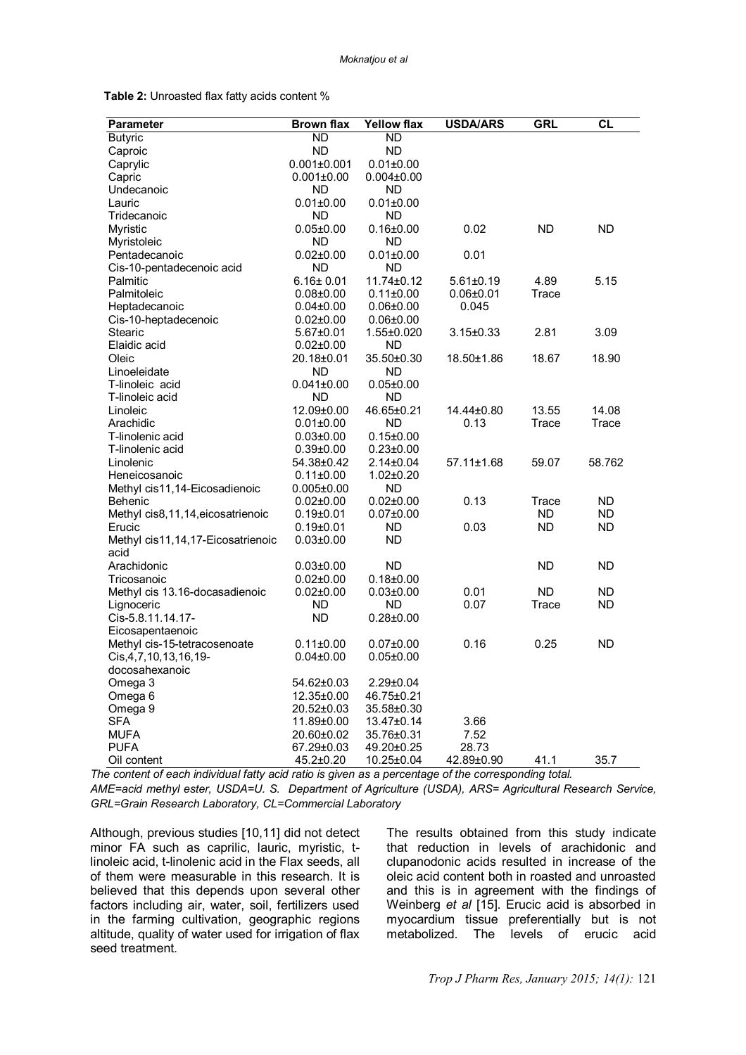| <b>Table 2:</b> Unroasted flax fatty acids content % |  |
|------------------------------------------------------|--|
|------------------------------------------------------|--|

| <b>Butyric</b><br>ND<br>ND<br>Caproic<br>ND<br>ND<br>Caprylic<br>$0.001 \pm 0.001$<br>$0.01 \pm 0.00$<br>Capric<br>$0.001 \pm 0.00$<br>$0.004 \pm 0.00$<br>ND<br>Undecanoic<br>ND<br>Lauric<br>$0.01 \pm 0.00$<br>$0.01 \pm 0.00$<br>Tridecanoic<br>ND<br>ND<br>0.02<br><b>ND</b><br><b>ND</b><br>Myristic<br>$0.05 \pm 0.00$<br>$0.16 \pm 0.00$<br>Myristoleic<br><b>ND</b><br><b>ND</b><br>0.01<br>Pentadecanoic<br>$0.02 \pm 0.00$<br>$0.01 \pm 0.00$<br>Cis-10-pentadecenoic acid<br>ND<br>ND<br>4.89<br>5.15<br>Palmitic<br>$6.16 \pm 0.01$<br>11.74±0.12<br>$5.61 \pm 0.19$<br>Palmitoleic<br>Trace<br>$0.08 + 0.00$<br>$0.11 \pm 0.00$<br>$0.06 + 0.01$<br>Heptadecanoic<br>$0.04 \pm 0.00$<br>$0.06 \pm 0.00$<br>0.045<br>Cis-10-heptadecenoic<br>$0.02 \pm 0.00$<br>$0.06 \pm 0.00$<br>2.81<br>Stearic<br>5.67±0.01<br>1.55±0.020<br>$3.15 \pm 0.33$<br>3.09<br>Elaidic acid<br><b>ND</b><br>$0.02 \pm 0.00$<br>18.90<br>Oleic<br>20.18±0.01<br>35.50±0.30<br>18.50±1.86<br>18.67<br>Linoeleidate<br>ND<br>ND<br>$0.041 \pm 0.00$<br>$0.05 \pm 0.00$<br>T-linoleic acid<br><b>ND</b><br><b>ND</b><br>T-linoleic acid<br>12.09±0.00<br>46.65±0.21<br>14.44±0.80<br>13.55<br>14.08<br>Linoleic<br><b>ND</b><br>0.13<br>Trace<br>Trace<br>Arachidic<br>$0.01 \pm 0.00$<br>T-linolenic acid<br>$0.03 \pm 0.00$<br>$0.15 \pm 0.00$<br>T-linolenic acid<br>$0.39 \pm 0.00$<br>$0.23 \pm 0.00$<br>Linolenic<br>54.38±0.42<br>$2.14 \pm 0.04$<br>57.11±1.68<br>59.07<br>58.762<br>Heneicosanoic<br>$0.11 \pm 0.00$<br>$1.02 \pm 0.20$<br>Methyl cis11,14-Eicosadienoic<br>ND<br>$0.005 \pm 0.00$<br>$0.02 \pm 0.00$<br>$0.02 \pm 0.00$<br>0.13<br>Trace<br>ND.<br>Behenic<br>ND<br>Methyl cis8,11,14,eicosatrienoic<br>$0.19{\pm}0.01$<br>$0.07 \pm 0.00$<br>ND.<br>0.03<br><b>ND</b><br>Erucic<br>$0.19{\pm}0.01$<br>ND<br>ND.<br><b>ND</b><br>$0.03 \pm 0.00$<br>Methyl cis11,14,17-Eicosatrienoic<br>acid<br><b>ND</b><br><b>ND</b><br>Arachidonic<br>$0.03 \pm 0.00$<br>ND<br>Tricosanoic<br>$0.02 \pm 0.00$<br>$0.18 + 0.00$<br><b>ND</b><br><b>ND</b><br>Methyl cis 13.16-docasadienoic<br>$0.02 \pm 0.00$<br>$0.03 \pm 0.00$<br>0.01<br>Lignoceric<br>ND<br><b>ND</b><br>0.07<br>Trace<br>ND<br>Cis-5.8.11.14.17-<br>ND<br>$0.28 + 0.00$<br>Eicosapentaenoic<br>0.16<br>0.25<br><b>ND</b><br>Methyl cis-15-tetracosenoate<br>$0.11 \pm 0.00$<br>$0.07 \pm 0.00$<br>Cis, 4, 7, 10, 13, 16, 19-<br>$0.04 \pm 0.00$<br>$0.05 \pm 0.00$<br>docosahexanoic<br>$2.29 \pm 0.04$<br>Omega 3<br>54.62±0.03<br>Omega 6<br>12.35±0.00<br>46.75±0.21<br>Omega 9<br>20.52±0.03<br>$35.58 \pm 0.30$<br>SFA<br>3.66<br>11.89±0.00<br>13.47±0.14<br><b>MUFA</b><br>7.52<br>20.60±0.02<br>35.76±0.31 | Parameter | <b>Brown flax</b> | Yellow flax | <b>USDA/ARS</b> | <b>GRL</b> | $\overline{\text{CL}}$ |
|---------------------------------------------------------------------------------------------------------------------------------------------------------------------------------------------------------------------------------------------------------------------------------------------------------------------------------------------------------------------------------------------------------------------------------------------------------------------------------------------------------------------------------------------------------------------------------------------------------------------------------------------------------------------------------------------------------------------------------------------------------------------------------------------------------------------------------------------------------------------------------------------------------------------------------------------------------------------------------------------------------------------------------------------------------------------------------------------------------------------------------------------------------------------------------------------------------------------------------------------------------------------------------------------------------------------------------------------------------------------------------------------------------------------------------------------------------------------------------------------------------------------------------------------------------------------------------------------------------------------------------------------------------------------------------------------------------------------------------------------------------------------------------------------------------------------------------------------------------------------------------------------------------------------------------------------------------------------------------------------------------------------------------------------------------------------------------------------------------------------------------------------------------------------------------------------------------------------------------------------------------------------------------------------------------------------------------------------------------------------------------------------------------------------------------------------------------------------------------------------------------------------------------------------------------------------------------------------------------------------------------------------------------------------------------------------|-----------|-------------------|-------------|-----------------|------------|------------------------|
|                                                                                                                                                                                                                                                                                                                                                                                                                                                                                                                                                                                                                                                                                                                                                                                                                                                                                                                                                                                                                                                                                                                                                                                                                                                                                                                                                                                                                                                                                                                                                                                                                                                                                                                                                                                                                                                                                                                                                                                                                                                                                                                                                                                                                                                                                                                                                                                                                                                                                                                                                                                                                                                                                             |           |                   |             |                 |            |                        |
|                                                                                                                                                                                                                                                                                                                                                                                                                                                                                                                                                                                                                                                                                                                                                                                                                                                                                                                                                                                                                                                                                                                                                                                                                                                                                                                                                                                                                                                                                                                                                                                                                                                                                                                                                                                                                                                                                                                                                                                                                                                                                                                                                                                                                                                                                                                                                                                                                                                                                                                                                                                                                                                                                             |           |                   |             |                 |            |                        |
|                                                                                                                                                                                                                                                                                                                                                                                                                                                                                                                                                                                                                                                                                                                                                                                                                                                                                                                                                                                                                                                                                                                                                                                                                                                                                                                                                                                                                                                                                                                                                                                                                                                                                                                                                                                                                                                                                                                                                                                                                                                                                                                                                                                                                                                                                                                                                                                                                                                                                                                                                                                                                                                                                             |           |                   |             |                 |            |                        |
|                                                                                                                                                                                                                                                                                                                                                                                                                                                                                                                                                                                                                                                                                                                                                                                                                                                                                                                                                                                                                                                                                                                                                                                                                                                                                                                                                                                                                                                                                                                                                                                                                                                                                                                                                                                                                                                                                                                                                                                                                                                                                                                                                                                                                                                                                                                                                                                                                                                                                                                                                                                                                                                                                             |           |                   |             |                 |            |                        |
|                                                                                                                                                                                                                                                                                                                                                                                                                                                                                                                                                                                                                                                                                                                                                                                                                                                                                                                                                                                                                                                                                                                                                                                                                                                                                                                                                                                                                                                                                                                                                                                                                                                                                                                                                                                                                                                                                                                                                                                                                                                                                                                                                                                                                                                                                                                                                                                                                                                                                                                                                                                                                                                                                             |           |                   |             |                 |            |                        |
|                                                                                                                                                                                                                                                                                                                                                                                                                                                                                                                                                                                                                                                                                                                                                                                                                                                                                                                                                                                                                                                                                                                                                                                                                                                                                                                                                                                                                                                                                                                                                                                                                                                                                                                                                                                                                                                                                                                                                                                                                                                                                                                                                                                                                                                                                                                                                                                                                                                                                                                                                                                                                                                                                             |           |                   |             |                 |            |                        |
|                                                                                                                                                                                                                                                                                                                                                                                                                                                                                                                                                                                                                                                                                                                                                                                                                                                                                                                                                                                                                                                                                                                                                                                                                                                                                                                                                                                                                                                                                                                                                                                                                                                                                                                                                                                                                                                                                                                                                                                                                                                                                                                                                                                                                                                                                                                                                                                                                                                                                                                                                                                                                                                                                             |           |                   |             |                 |            |                        |
|                                                                                                                                                                                                                                                                                                                                                                                                                                                                                                                                                                                                                                                                                                                                                                                                                                                                                                                                                                                                                                                                                                                                                                                                                                                                                                                                                                                                                                                                                                                                                                                                                                                                                                                                                                                                                                                                                                                                                                                                                                                                                                                                                                                                                                                                                                                                                                                                                                                                                                                                                                                                                                                                                             |           |                   |             |                 |            |                        |
|                                                                                                                                                                                                                                                                                                                                                                                                                                                                                                                                                                                                                                                                                                                                                                                                                                                                                                                                                                                                                                                                                                                                                                                                                                                                                                                                                                                                                                                                                                                                                                                                                                                                                                                                                                                                                                                                                                                                                                                                                                                                                                                                                                                                                                                                                                                                                                                                                                                                                                                                                                                                                                                                                             |           |                   |             |                 |            |                        |
|                                                                                                                                                                                                                                                                                                                                                                                                                                                                                                                                                                                                                                                                                                                                                                                                                                                                                                                                                                                                                                                                                                                                                                                                                                                                                                                                                                                                                                                                                                                                                                                                                                                                                                                                                                                                                                                                                                                                                                                                                                                                                                                                                                                                                                                                                                                                                                                                                                                                                                                                                                                                                                                                                             |           |                   |             |                 |            |                        |
|                                                                                                                                                                                                                                                                                                                                                                                                                                                                                                                                                                                                                                                                                                                                                                                                                                                                                                                                                                                                                                                                                                                                                                                                                                                                                                                                                                                                                                                                                                                                                                                                                                                                                                                                                                                                                                                                                                                                                                                                                                                                                                                                                                                                                                                                                                                                                                                                                                                                                                                                                                                                                                                                                             |           |                   |             |                 |            |                        |
|                                                                                                                                                                                                                                                                                                                                                                                                                                                                                                                                                                                                                                                                                                                                                                                                                                                                                                                                                                                                                                                                                                                                                                                                                                                                                                                                                                                                                                                                                                                                                                                                                                                                                                                                                                                                                                                                                                                                                                                                                                                                                                                                                                                                                                                                                                                                                                                                                                                                                                                                                                                                                                                                                             |           |                   |             |                 |            |                        |
|                                                                                                                                                                                                                                                                                                                                                                                                                                                                                                                                                                                                                                                                                                                                                                                                                                                                                                                                                                                                                                                                                                                                                                                                                                                                                                                                                                                                                                                                                                                                                                                                                                                                                                                                                                                                                                                                                                                                                                                                                                                                                                                                                                                                                                                                                                                                                                                                                                                                                                                                                                                                                                                                                             |           |                   |             |                 |            |                        |
|                                                                                                                                                                                                                                                                                                                                                                                                                                                                                                                                                                                                                                                                                                                                                                                                                                                                                                                                                                                                                                                                                                                                                                                                                                                                                                                                                                                                                                                                                                                                                                                                                                                                                                                                                                                                                                                                                                                                                                                                                                                                                                                                                                                                                                                                                                                                                                                                                                                                                                                                                                                                                                                                                             |           |                   |             |                 |            |                        |
|                                                                                                                                                                                                                                                                                                                                                                                                                                                                                                                                                                                                                                                                                                                                                                                                                                                                                                                                                                                                                                                                                                                                                                                                                                                                                                                                                                                                                                                                                                                                                                                                                                                                                                                                                                                                                                                                                                                                                                                                                                                                                                                                                                                                                                                                                                                                                                                                                                                                                                                                                                                                                                                                                             |           |                   |             |                 |            |                        |
|                                                                                                                                                                                                                                                                                                                                                                                                                                                                                                                                                                                                                                                                                                                                                                                                                                                                                                                                                                                                                                                                                                                                                                                                                                                                                                                                                                                                                                                                                                                                                                                                                                                                                                                                                                                                                                                                                                                                                                                                                                                                                                                                                                                                                                                                                                                                                                                                                                                                                                                                                                                                                                                                                             |           |                   |             |                 |            |                        |
|                                                                                                                                                                                                                                                                                                                                                                                                                                                                                                                                                                                                                                                                                                                                                                                                                                                                                                                                                                                                                                                                                                                                                                                                                                                                                                                                                                                                                                                                                                                                                                                                                                                                                                                                                                                                                                                                                                                                                                                                                                                                                                                                                                                                                                                                                                                                                                                                                                                                                                                                                                                                                                                                                             |           |                   |             |                 |            |                        |
|                                                                                                                                                                                                                                                                                                                                                                                                                                                                                                                                                                                                                                                                                                                                                                                                                                                                                                                                                                                                                                                                                                                                                                                                                                                                                                                                                                                                                                                                                                                                                                                                                                                                                                                                                                                                                                                                                                                                                                                                                                                                                                                                                                                                                                                                                                                                                                                                                                                                                                                                                                                                                                                                                             |           |                   |             |                 |            |                        |
|                                                                                                                                                                                                                                                                                                                                                                                                                                                                                                                                                                                                                                                                                                                                                                                                                                                                                                                                                                                                                                                                                                                                                                                                                                                                                                                                                                                                                                                                                                                                                                                                                                                                                                                                                                                                                                                                                                                                                                                                                                                                                                                                                                                                                                                                                                                                                                                                                                                                                                                                                                                                                                                                                             |           |                   |             |                 |            |                        |
|                                                                                                                                                                                                                                                                                                                                                                                                                                                                                                                                                                                                                                                                                                                                                                                                                                                                                                                                                                                                                                                                                                                                                                                                                                                                                                                                                                                                                                                                                                                                                                                                                                                                                                                                                                                                                                                                                                                                                                                                                                                                                                                                                                                                                                                                                                                                                                                                                                                                                                                                                                                                                                                                                             |           |                   |             |                 |            |                        |
|                                                                                                                                                                                                                                                                                                                                                                                                                                                                                                                                                                                                                                                                                                                                                                                                                                                                                                                                                                                                                                                                                                                                                                                                                                                                                                                                                                                                                                                                                                                                                                                                                                                                                                                                                                                                                                                                                                                                                                                                                                                                                                                                                                                                                                                                                                                                                                                                                                                                                                                                                                                                                                                                                             |           |                   |             |                 |            |                        |
|                                                                                                                                                                                                                                                                                                                                                                                                                                                                                                                                                                                                                                                                                                                                                                                                                                                                                                                                                                                                                                                                                                                                                                                                                                                                                                                                                                                                                                                                                                                                                                                                                                                                                                                                                                                                                                                                                                                                                                                                                                                                                                                                                                                                                                                                                                                                                                                                                                                                                                                                                                                                                                                                                             |           |                   |             |                 |            |                        |
|                                                                                                                                                                                                                                                                                                                                                                                                                                                                                                                                                                                                                                                                                                                                                                                                                                                                                                                                                                                                                                                                                                                                                                                                                                                                                                                                                                                                                                                                                                                                                                                                                                                                                                                                                                                                                                                                                                                                                                                                                                                                                                                                                                                                                                                                                                                                                                                                                                                                                                                                                                                                                                                                                             |           |                   |             |                 |            |                        |
|                                                                                                                                                                                                                                                                                                                                                                                                                                                                                                                                                                                                                                                                                                                                                                                                                                                                                                                                                                                                                                                                                                                                                                                                                                                                                                                                                                                                                                                                                                                                                                                                                                                                                                                                                                                                                                                                                                                                                                                                                                                                                                                                                                                                                                                                                                                                                                                                                                                                                                                                                                                                                                                                                             |           |                   |             |                 |            |                        |
|                                                                                                                                                                                                                                                                                                                                                                                                                                                                                                                                                                                                                                                                                                                                                                                                                                                                                                                                                                                                                                                                                                                                                                                                                                                                                                                                                                                                                                                                                                                                                                                                                                                                                                                                                                                                                                                                                                                                                                                                                                                                                                                                                                                                                                                                                                                                                                                                                                                                                                                                                                                                                                                                                             |           |                   |             |                 |            |                        |
|                                                                                                                                                                                                                                                                                                                                                                                                                                                                                                                                                                                                                                                                                                                                                                                                                                                                                                                                                                                                                                                                                                                                                                                                                                                                                                                                                                                                                                                                                                                                                                                                                                                                                                                                                                                                                                                                                                                                                                                                                                                                                                                                                                                                                                                                                                                                                                                                                                                                                                                                                                                                                                                                                             |           |                   |             |                 |            |                        |
|                                                                                                                                                                                                                                                                                                                                                                                                                                                                                                                                                                                                                                                                                                                                                                                                                                                                                                                                                                                                                                                                                                                                                                                                                                                                                                                                                                                                                                                                                                                                                                                                                                                                                                                                                                                                                                                                                                                                                                                                                                                                                                                                                                                                                                                                                                                                                                                                                                                                                                                                                                                                                                                                                             |           |                   |             |                 |            |                        |
|                                                                                                                                                                                                                                                                                                                                                                                                                                                                                                                                                                                                                                                                                                                                                                                                                                                                                                                                                                                                                                                                                                                                                                                                                                                                                                                                                                                                                                                                                                                                                                                                                                                                                                                                                                                                                                                                                                                                                                                                                                                                                                                                                                                                                                                                                                                                                                                                                                                                                                                                                                                                                                                                                             |           |                   |             |                 |            |                        |
|                                                                                                                                                                                                                                                                                                                                                                                                                                                                                                                                                                                                                                                                                                                                                                                                                                                                                                                                                                                                                                                                                                                                                                                                                                                                                                                                                                                                                                                                                                                                                                                                                                                                                                                                                                                                                                                                                                                                                                                                                                                                                                                                                                                                                                                                                                                                                                                                                                                                                                                                                                                                                                                                                             |           |                   |             |                 |            |                        |
|                                                                                                                                                                                                                                                                                                                                                                                                                                                                                                                                                                                                                                                                                                                                                                                                                                                                                                                                                                                                                                                                                                                                                                                                                                                                                                                                                                                                                                                                                                                                                                                                                                                                                                                                                                                                                                                                                                                                                                                                                                                                                                                                                                                                                                                                                                                                                                                                                                                                                                                                                                                                                                                                                             |           |                   |             |                 |            |                        |
|                                                                                                                                                                                                                                                                                                                                                                                                                                                                                                                                                                                                                                                                                                                                                                                                                                                                                                                                                                                                                                                                                                                                                                                                                                                                                                                                                                                                                                                                                                                                                                                                                                                                                                                                                                                                                                                                                                                                                                                                                                                                                                                                                                                                                                                                                                                                                                                                                                                                                                                                                                                                                                                                                             |           |                   |             |                 |            |                        |
|                                                                                                                                                                                                                                                                                                                                                                                                                                                                                                                                                                                                                                                                                                                                                                                                                                                                                                                                                                                                                                                                                                                                                                                                                                                                                                                                                                                                                                                                                                                                                                                                                                                                                                                                                                                                                                                                                                                                                                                                                                                                                                                                                                                                                                                                                                                                                                                                                                                                                                                                                                                                                                                                                             |           |                   |             |                 |            |                        |
|                                                                                                                                                                                                                                                                                                                                                                                                                                                                                                                                                                                                                                                                                                                                                                                                                                                                                                                                                                                                                                                                                                                                                                                                                                                                                                                                                                                                                                                                                                                                                                                                                                                                                                                                                                                                                                                                                                                                                                                                                                                                                                                                                                                                                                                                                                                                                                                                                                                                                                                                                                                                                                                                                             |           |                   |             |                 |            |                        |
|                                                                                                                                                                                                                                                                                                                                                                                                                                                                                                                                                                                                                                                                                                                                                                                                                                                                                                                                                                                                                                                                                                                                                                                                                                                                                                                                                                                                                                                                                                                                                                                                                                                                                                                                                                                                                                                                                                                                                                                                                                                                                                                                                                                                                                                                                                                                                                                                                                                                                                                                                                                                                                                                                             |           |                   |             |                 |            |                        |
|                                                                                                                                                                                                                                                                                                                                                                                                                                                                                                                                                                                                                                                                                                                                                                                                                                                                                                                                                                                                                                                                                                                                                                                                                                                                                                                                                                                                                                                                                                                                                                                                                                                                                                                                                                                                                                                                                                                                                                                                                                                                                                                                                                                                                                                                                                                                                                                                                                                                                                                                                                                                                                                                                             |           |                   |             |                 |            |                        |
|                                                                                                                                                                                                                                                                                                                                                                                                                                                                                                                                                                                                                                                                                                                                                                                                                                                                                                                                                                                                                                                                                                                                                                                                                                                                                                                                                                                                                                                                                                                                                                                                                                                                                                                                                                                                                                                                                                                                                                                                                                                                                                                                                                                                                                                                                                                                                                                                                                                                                                                                                                                                                                                                                             |           |                   |             |                 |            |                        |
|                                                                                                                                                                                                                                                                                                                                                                                                                                                                                                                                                                                                                                                                                                                                                                                                                                                                                                                                                                                                                                                                                                                                                                                                                                                                                                                                                                                                                                                                                                                                                                                                                                                                                                                                                                                                                                                                                                                                                                                                                                                                                                                                                                                                                                                                                                                                                                                                                                                                                                                                                                                                                                                                                             |           |                   |             |                 |            |                        |
|                                                                                                                                                                                                                                                                                                                                                                                                                                                                                                                                                                                                                                                                                                                                                                                                                                                                                                                                                                                                                                                                                                                                                                                                                                                                                                                                                                                                                                                                                                                                                                                                                                                                                                                                                                                                                                                                                                                                                                                                                                                                                                                                                                                                                                                                                                                                                                                                                                                                                                                                                                                                                                                                                             |           |                   |             |                 |            |                        |
|                                                                                                                                                                                                                                                                                                                                                                                                                                                                                                                                                                                                                                                                                                                                                                                                                                                                                                                                                                                                                                                                                                                                                                                                                                                                                                                                                                                                                                                                                                                                                                                                                                                                                                                                                                                                                                                                                                                                                                                                                                                                                                                                                                                                                                                                                                                                                                                                                                                                                                                                                                                                                                                                                             |           |                   |             |                 |            |                        |
|                                                                                                                                                                                                                                                                                                                                                                                                                                                                                                                                                                                                                                                                                                                                                                                                                                                                                                                                                                                                                                                                                                                                                                                                                                                                                                                                                                                                                                                                                                                                                                                                                                                                                                                                                                                                                                                                                                                                                                                                                                                                                                                                                                                                                                                                                                                                                                                                                                                                                                                                                                                                                                                                                             |           |                   |             |                 |            |                        |
|                                                                                                                                                                                                                                                                                                                                                                                                                                                                                                                                                                                                                                                                                                                                                                                                                                                                                                                                                                                                                                                                                                                                                                                                                                                                                                                                                                                                                                                                                                                                                                                                                                                                                                                                                                                                                                                                                                                                                                                                                                                                                                                                                                                                                                                                                                                                                                                                                                                                                                                                                                                                                                                                                             |           |                   |             |                 |            |                        |
|                                                                                                                                                                                                                                                                                                                                                                                                                                                                                                                                                                                                                                                                                                                                                                                                                                                                                                                                                                                                                                                                                                                                                                                                                                                                                                                                                                                                                                                                                                                                                                                                                                                                                                                                                                                                                                                                                                                                                                                                                                                                                                                                                                                                                                                                                                                                                                                                                                                                                                                                                                                                                                                                                             |           |                   |             |                 |            |                        |
|                                                                                                                                                                                                                                                                                                                                                                                                                                                                                                                                                                                                                                                                                                                                                                                                                                                                                                                                                                                                                                                                                                                                                                                                                                                                                                                                                                                                                                                                                                                                                                                                                                                                                                                                                                                                                                                                                                                                                                                                                                                                                                                                                                                                                                                                                                                                                                                                                                                                                                                                                                                                                                                                                             |           |                   |             |                 |            |                        |
|                                                                                                                                                                                                                                                                                                                                                                                                                                                                                                                                                                                                                                                                                                                                                                                                                                                                                                                                                                                                                                                                                                                                                                                                                                                                                                                                                                                                                                                                                                                                                                                                                                                                                                                                                                                                                                                                                                                                                                                                                                                                                                                                                                                                                                                                                                                                                                                                                                                                                                                                                                                                                                                                                             |           |                   |             |                 |            |                        |
|                                                                                                                                                                                                                                                                                                                                                                                                                                                                                                                                                                                                                                                                                                                                                                                                                                                                                                                                                                                                                                                                                                                                                                                                                                                                                                                                                                                                                                                                                                                                                                                                                                                                                                                                                                                                                                                                                                                                                                                                                                                                                                                                                                                                                                                                                                                                                                                                                                                                                                                                                                                                                                                                                             |           |                   |             |                 |            |                        |
|                                                                                                                                                                                                                                                                                                                                                                                                                                                                                                                                                                                                                                                                                                                                                                                                                                                                                                                                                                                                                                                                                                                                                                                                                                                                                                                                                                                                                                                                                                                                                                                                                                                                                                                                                                                                                                                                                                                                                                                                                                                                                                                                                                                                                                                                                                                                                                                                                                                                                                                                                                                                                                                                                             |           |                   |             |                 |            |                        |
|                                                                                                                                                                                                                                                                                                                                                                                                                                                                                                                                                                                                                                                                                                                                                                                                                                                                                                                                                                                                                                                                                                                                                                                                                                                                                                                                                                                                                                                                                                                                                                                                                                                                                                                                                                                                                                                                                                                                                                                                                                                                                                                                                                                                                                                                                                                                                                                                                                                                                                                                                                                                                                                                                             |           |                   |             |                 |            |                        |
|                                                                                                                                                                                                                                                                                                                                                                                                                                                                                                                                                                                                                                                                                                                                                                                                                                                                                                                                                                                                                                                                                                                                                                                                                                                                                                                                                                                                                                                                                                                                                                                                                                                                                                                                                                                                                                                                                                                                                                                                                                                                                                                                                                                                                                                                                                                                                                                                                                                                                                                                                                                                                                                                                             |           |                   |             |                 |            |                        |
|                                                                                                                                                                                                                                                                                                                                                                                                                                                                                                                                                                                                                                                                                                                                                                                                                                                                                                                                                                                                                                                                                                                                                                                                                                                                                                                                                                                                                                                                                                                                                                                                                                                                                                                                                                                                                                                                                                                                                                                                                                                                                                                                                                                                                                                                                                                                                                                                                                                                                                                                                                                                                                                                                             |           |                   |             |                 |            |                        |
|                                                                                                                                                                                                                                                                                                                                                                                                                                                                                                                                                                                                                                                                                                                                                                                                                                                                                                                                                                                                                                                                                                                                                                                                                                                                                                                                                                                                                                                                                                                                                                                                                                                                                                                                                                                                                                                                                                                                                                                                                                                                                                                                                                                                                                                                                                                                                                                                                                                                                                                                                                                                                                                                                             | PUFA      | 67.29±0.03        | 49.20±0.25  | 28.73           |            |                        |
| 42.89±0.90<br>41.1<br>45.2±0.20<br>10.25±0.04<br>35.7<br>Oil content                                                                                                                                                                                                                                                                                                                                                                                                                                                                                                                                                                                                                                                                                                                                                                                                                                                                                                                                                                                                                                                                                                                                                                                                                                                                                                                                                                                                                                                                                                                                                                                                                                                                                                                                                                                                                                                                                                                                                                                                                                                                                                                                                                                                                                                                                                                                                                                                                                                                                                                                                                                                                        |           |                   |             |                 |            |                        |

*The content of each individual fatty acid ratio is given as a percentage of the corresponding total. AME=acid methyl ester, USDA=U. S. Department of Agriculture (USDA), ARS= Agricultural Research Service, GRL=Grain Research Laboratory, CL=Commercial Laboratory*

Although, previous studies [10,11] did not detect minor FA such as caprilic, lauric, myristic, tlinoleic acid, t-linolenic acid in the Flax seeds, all of them were measurable in this research. It is believed that this depends upon several other factors including air, water, soil, fertilizers used in the farming cultivation, geographic regions altitude, quality of water used for irrigation of flax seed treatment.

The results obtained from this study indicate that reduction in levels of arachidonic and clupanodonic acids resulted in increase of the oleic acid content both in roasted and unroasted and this is in agreement with the findings of Weinberg *et al* [15]. Erucic acid is absorbed in myocardium tissue preferentially but is not metabolized. The levels of erucic acid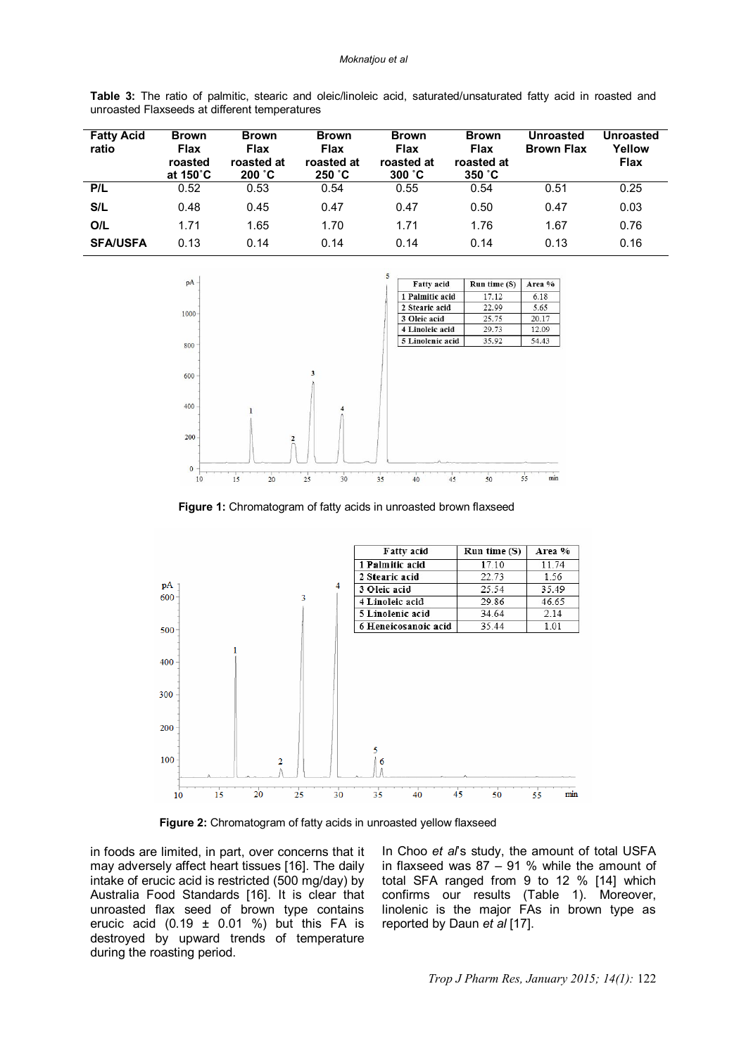| <b>Fatty Acid</b><br>ratio | <b>Brown</b><br><b>Flax</b><br>roasted<br>at 150°C | <b>Brown</b><br><b>Flax</b><br>roasted at<br>200 °C | <b>Brown</b><br><b>Flax</b><br>roasted at<br>250 °C | <b>Brown</b><br><b>Flax</b><br>roasted at<br>300 °C | <b>Brown</b><br><b>Flax</b><br>roasted at<br>350 °C | Unroasted<br><b>Brown Flax</b> | <b>Unroasted</b><br>Yellow<br><b>Flax</b> |
|----------------------------|----------------------------------------------------|-----------------------------------------------------|-----------------------------------------------------|-----------------------------------------------------|-----------------------------------------------------|--------------------------------|-------------------------------------------|
| P/L                        | 0.52                                               | 0.53                                                | 0.54                                                | 0.55                                                | 0.54                                                | 0.51                           | 0.25                                      |
| S/L                        | 0.48                                               | 0.45                                                | 0.47                                                | 0.47                                                | 0.50                                                | 0.47                           | 0.03                                      |
| O/L                        | 1.71                                               | 1.65                                                | 1.70                                                | 1.71                                                | 1.76                                                | 1.67                           | 0.76                                      |
| <b>SFA/USFA</b>            | 0.13                                               | 0.14                                                | 0.14                                                | 0.14                                                | 0.14                                                | 0.13                           | 0.16                                      |

**Table 3:** The ratio of palmitic, stearic and oleic/linoleic acid, saturated/unsaturated fatty acid in roasted and unroasted Flaxseeds at different temperatures



 **Figure 1:** Chromatogram of fatty acids in unroasted brown flaxseed



 **Figure 2:** Chromatogram of fatty acids in unroasted yellow flaxseed

in foods are limited, in part, over concerns that it may adversely affect heart tissues [16]. The daily intake of erucic acid is restricted (500 mg/day) by Australia Food Standards [16]. It is clear that unroasted flax seed of brown type contains erucic acid (0.19  $\pm$  0.01 %) but this FA is destroyed by upward trends of temperature during the roasting period.

In Choo *et al*'s study, the amount of total USFA in flaxseed was 87 – 91 % while the amount of total SFA ranged from 9 to 12 % [14] which confirms our results (Table 1). Moreover, linolenic is the major FAs in brown type as reported by Daun *et al* [17].